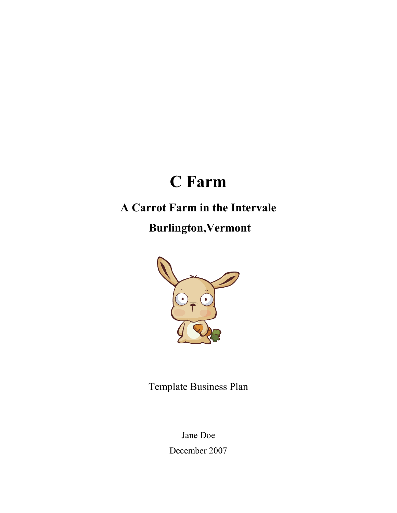# C Farm

# A Carrot Farm in the Intervale

Burlington,Vermont



Template Business Plan

Jane Doe December 2007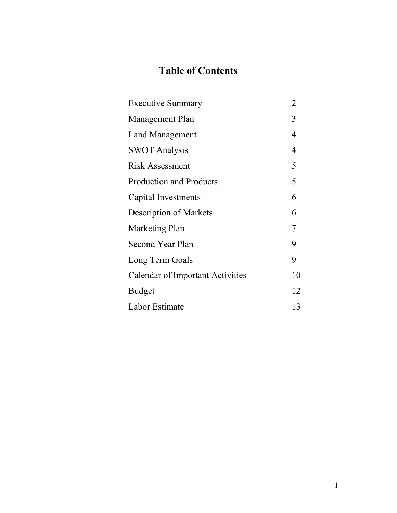# Table of Contents

| <b>Executive Summary</b>                | $\overline{2}$ |
|-----------------------------------------|----------------|
| Management Plan                         | 3              |
| Land Management                         | 4              |
| <b>SWOT Analysis</b>                    | 4              |
| Risk Assessment                         | 5              |
| <b>Production and Products</b>          | 5              |
| Capital Investments                     | 6              |
| <b>Description of Markets</b>           | 6              |
| Marketing Plan                          | 7              |
| <b>Second Year Plan</b>                 | 9              |
| Long Term Goals                         | 9              |
| <b>Calendar of Important Activities</b> | 10             |
| <b>Budget</b>                           | 12             |
| Labor Estimate                          | 13             |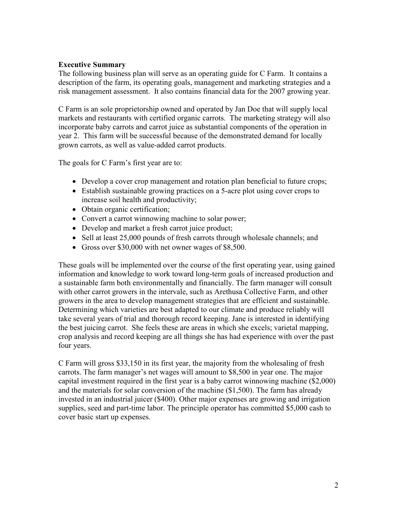# Executive Summary

The following business plan will serve as an operating guide for C Farm. It contains a description of the farm, its operating goals, management and marketing strategies and a risk management assessment. It also contains financial data for the 2007 growing year.

C Farm is an sole proprietorship owned and operated by Jan Doe that will supply local markets and restaurants with certified organic carrots. The marketing strategy will also incorporate baby carrots and carrot juice as substantial components of the operation in year 2. This farm will be successful because of the demonstrated demand for locally grown carrots, as well as value-added carrot products.

The goals for C Farm's first year are to:

- Develop a cover crop management and rotation plan beneficial to future crops;
- Establish sustainable growing practices on a 5-acre plot using cover crops to increase soil health and productivity;
- Obtain organic certification;
- Convert a carrot winnowing machine to solar power;
- Develop and market a fresh carrot juice product;
- Sell at least 25,000 pounds of fresh carrots through wholesale channels; and
- Gross over \$30,000 with net owner wages of \$8,500.

These goals will be implemented over the course of the first operating year, using gained information and knowledge to work toward long-term goals of increased production and a sustainable farm both environmentally and financially. The farm manager will consult with other carrot growers in the intervale, such as Arethusa Collective Farm, and other growers in the area to develop management strategies that are efficient and sustainable. Determining which varieties are best adapted to our climate and produce reliably will take several years of trial and thorough record keeping. Jane is interested in identifying the best juicing carrot. She feels these are areas in which she excels; varietal mapping, crop analysis and record keeping are all things she has had experience with over the past four years.

C Farm will gross \$33,150 in its first year, the majority from the wholesaling of fresh carrots. The farm manager's net wages will amount to \$8,500 in year one. The major capital investment required in the first year is a baby carrot winnowing machine (\$2,000) and the materials for solar conversion of the machine (\$1,500). The farm has already invested in an industrial juicer (\$400). Other major expenses are growing and irrigation supplies, seed and part-time labor. The principle operator has committed \$5,000 cash to cover basic start up expenses.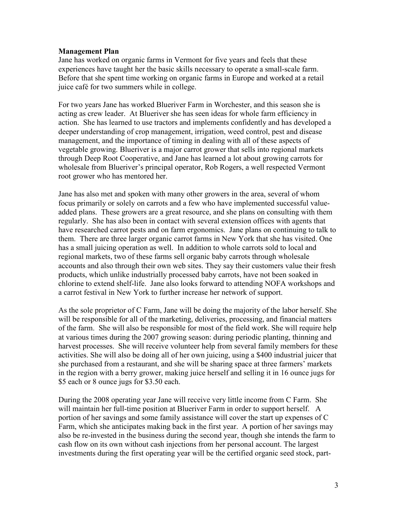#### Management Plan

Jane has worked on organic farms in Vermont for five years and feels that these experiences have taught her the basic skills necessary to operate a small-scale farm. Before that she spent time working on organic farms in Europe and worked at a retail juice café for two summers while in college.

For two years Jane has worked Blueriver Farm in Worchester, and this season she is acting as crew leader. At Blueriver she has seen ideas for whole farm efficiency in action. She has learned to use tractors and implements confidently and has developed a deeper understanding of crop management, irrigation, weed control, pest and disease management, and the importance of timing in dealing with all of these aspects of vegetable growing. Blueriver is a major carrot grower that sells into regional markets through Deep Root Cooperative, and Jane has learned a lot about growing carrots for wholesale from Blueriver's principal operator, Rob Rogers, a well respected Vermont root grower who has mentored her.

Jane has also met and spoken with many other growers in the area, several of whom focus primarily or solely on carrots and a few who have implemented successful valueadded plans. These growers are a great resource, and she plans on consulting with them regularly. She has also been in contact with several extension offices with agents that have researched carrot pests and on farm ergonomics. Jane plans on continuing to talk to them. There are three larger organic carrot farms in New York that she has visited. One has a small juicing operation as well. In addition to whole carrots sold to local and regional markets, two of these farms sell organic baby carrots through wholesale accounts and also through their own web sites. They say their customers value their fresh products, which unlike industrially processed baby carrots, have not been soaked in chlorine to extend shelf-life. Jane also looks forward to attending NOFA workshops and a carrot festival in New York to further increase her network of support.

As the sole proprietor of C Farm, Jane will be doing the majority of the labor herself. She will be responsible for all of the marketing, deliveries, processing, and financial matters of the farm. She will also be responsible for most of the field work. She will require help at various times during the 2007 growing season: during periodic planting, thinning and harvest processes. She will receive volunteer help from several family members for these activities. She will also be doing all of her own juicing, using a \$400 industrial juicer that she purchased from a restaurant, and she will be sharing space at three farmers' markets in the region with a berry grower, making juice herself and selling it in 16 ounce jugs for \$5 each or 8 ounce jugs for \$3.50 each.

During the 2008 operating year Jane will receive very little income from C Farm. She will maintain her full-time position at Blueriver Farm in order to support herself. A portion of her savings and some family assistance will cover the start up expenses of C Farm, which she anticipates making back in the first year. A portion of her savings may also be re-invested in the business during the second year, though she intends the farm to cash flow on its own without cash injections from her personal account. The largest investments during the first operating year will be the certified organic seed stock, part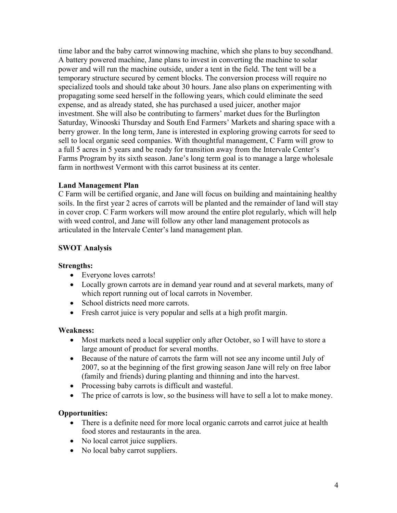time labor and the baby carrot winnowing machine, which she plans to buy secondhand. A battery powered machine, Jane plans to invest in converting the machine to solar power and will run the machine outside, under a tent in the field. The tent will be a temporary structure secured by cement blocks. The conversion process will require no specialized tools and should take about 30 hours. Jane also plans on experimenting with propagating some seed herself in the following years, which could eliminate the seed expense, and as already stated, she has purchased a used juicer, another major investment. She will also be contributing to farmers' market dues for the Burlington Saturday, Winooski Thursday and South End Farmers' Markets and sharing space with a berry grower. In the long term, Jane is interested in exploring growing carrots for seed to sell to local organic seed companies. With thoughtful management, C Farm will grow to a full 5 acres in 5 years and be ready for transition away from the Intervale Center's Farms Program by its sixth season. Jane's long term goal is to manage a large wholesale farm in northwest Vermont with this carrot business at its center.

# Land Management Plan

C Farm will be certified organic, and Jane will focus on building and maintaining healthy soils. In the first year 2 acres of carrots will be planted and the remainder of land will stay in cover crop. C Farm workers will mow around the entire plot regularly, which will help with weed control, and Jane will follow any other land management protocols as articulated in the Intervale Center's land management plan.

# SWOT Analysis

# Strengths:

- Everyone loves carrots!
- Locally grown carrots are in demand year round and at several markets, many of which report running out of local carrots in November.
- School districts need more carrots.
- Fresh carrot juice is very popular and sells at a high profit margin.

# Weakness:

- Most markets need a local supplier only after October, so I will have to store a large amount of product for several months.
- Because of the nature of carrots the farm will not see any income until July of 2007, so at the beginning of the first growing season Jane will rely on free labor (family and friends) during planting and thinning and into the harvest.
- Processing baby carrots is difficult and wasteful.
- The price of carrots is low, so the business will have to sell a lot to make money.

# Opportunities:

- There is a definite need for more local organic carrots and carrot juice at health food stores and restaurants in the area.
- No local carrot juice suppliers.
- No local baby carrot suppliers.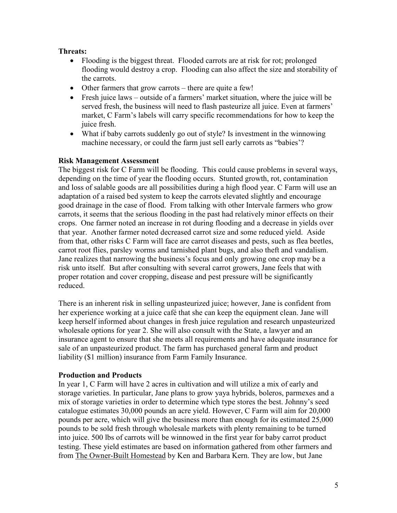# Threats:

- Flooding is the biggest threat. Flooded carrots are at risk for rot; prolonged flooding would destroy a crop. Flooding can also affect the size and storability of the carrots.
- Other farmers that grow carrots there are quite a few!
- Fresh juice laws outside of a farmers' market situation, where the juice will be served fresh, the business will need to flash pasteurize all juice. Even at farmers' market, C Farm's labels will carry specific recommendations for how to keep the juice fresh.
- What if baby carrots suddenly go out of style? Is investment in the winnowing machine necessary, or could the farm just sell early carrots as "babies'?

## Risk Management Assessment

The biggest risk for C Farm will be flooding. This could cause problems in several ways, depending on the time of year the flooding occurs. Stunted growth, rot, contamination and loss of salable goods are all possibilities during a high flood year. C Farm will use an adaptation of a raised bed system to keep the carrots elevated slightly and encourage good drainage in the case of flood. From talking with other Intervale farmers who grow carrots, it seems that the serious flooding in the past had relatively minor effects on their crops. One farmer noted an increase in rot during flooding and a decrease in yields over that year. Another farmer noted decreased carrot size and some reduced yield. Aside from that, other risks C Farm will face are carrot diseases and pests, such as flea beetles, carrot root flies, parsley worms and tarnished plant bugs, and also theft and vandalism. Jane realizes that narrowing the business's focus and only growing one crop may be a risk unto itself. But after consulting with several carrot growers, Jane feels that with proper rotation and cover cropping, disease and pest pressure will be significantly reduced.

There is an inherent risk in selling unpasteurized juice; however, Jane is confident from her experience working at a juice café that she can keep the equipment clean. Jane will keep herself informed about changes in fresh juice regulation and research unpasteurized wholesale options for year 2. She will also consult with the State, a lawyer and an insurance agent to ensure that she meets all requirements and have adequate insurance for sale of an unpasteurized product. The farm has purchased general farm and product liability (\$1 million) insurance from Farm Family Insurance.

## Production and Products

In year 1, C Farm will have 2 acres in cultivation and will utilize a mix of early and storage varieties. In particular, Jane plans to grow yaya hybrids, boleros, parmexes and a mix of storage varieties in order to determine which type stores the best. Johnny's seed catalogue estimates 30,000 pounds an acre yield. However, C Farm will aim for 20,000 pounds per acre, which will give the business more than enough for its estimated 25,000 pounds to be sold fresh through wholesale markets with plenty remaining to be turned into juice. 500 lbs of carrots will be winnowed in the first year for baby carrot product testing. These yield estimates are based on information gathered from other farmers and from The Owner-Built Homestead by Ken and Barbara Kern. They are low, but Jane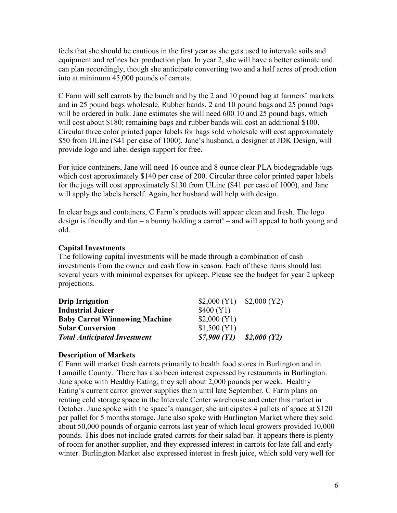feels that she should be cautious in the first year as she gets used to intervale soils and equipment and refines her production plan. In year 2, she will have a better estimate and can plan accordingly, though she anticipate converting two and a half acres of production into at minimum 45,000 pounds of carrots.

C Farm will sell carrots by the bunch and by the 2 and 10 pound bag at farmers' markets and in 25 pound bags wholesale. Rubber bands, 2 and 10 pound bags and 25 pound bags will be ordered in bulk. Jane estimates she will need 600 10 and 25 pound bags, which will cost about \$180; remaining bags and rubber bands will cost an additional \$100. Circular three color printed paper labels for bags sold wholesale will cost approximately \$50 from ULine (\$41 per case of 1000). Jane's husband, a designer at JDK Design, will provide logo and label design support for free.

For juice containers, Jane will need 16 ounce and 8 ounce clear PLA biodegradable jugs which cost approximately \$140 per case of 200. Circular three color printed paper labels for the jugs will cost approximately \$130 from ULine (\$41 per case of 1000), and Jane will apply the labels herself. Again, her husband will help with design.

In clear bags and containers, C Farm's products will appear clean and fresh. The logo design is friendly and fun – a bunny holding a carrot! – and will appeal to both young and old.

# Capital Investments

The following capital investments will be made through a combination of cash investments from the owner and cash flow in season. Each of these items should last several years with minimal expenses for upkeep. Please see the budget for year 2 upkeep projections.

| <b>Drip Irrigation</b>               |                                 | $$2,000 (Y1)$ $$2,000 (Y2)$ |
|--------------------------------------|---------------------------------|-----------------------------|
| <b>Industrial Juicer</b>             | \$400 (Y1)                      |                             |
| <b>Baby Carrot Winnowing Machine</b> | \$2,000 (Y1)                    |                             |
| <b>Solar Conversion</b>              | \$1,500 (Y1)                    |                             |
| <b>Total Anticipated Investment</b>  | $$7,900 (Y1) \quad $2,000 (Y2)$ |                             |

# Description of Markets

C Farm will market fresh carrots primarily to health food stores in Burlington and in Lamoille County. There has also been interest expressed by restaurants in Burlington. Jane spoke with Healthy Eating; they sell about 2,000 pounds per week. Healthy Eating's current carrot grower supplies them until late September. C Farm plans on renting cold storage space in the Intervale Center warehouse and enter this market in October. Jane spoke with the space's manager; she anticipates 4 pallets of space at \$120 per pallet for 5 months storage. Jane also spoke with Burlington Market where they sold about 50,000 pounds of organic carrots last year of which local growers provided 10,000 pounds. This does not include grated carrots for their salad bar. It appears there is plenty of room for another supplier, and they expressed interest in carrots for late fall and early winter. Burlington Market also expressed interest in fresh juice, which sold very well for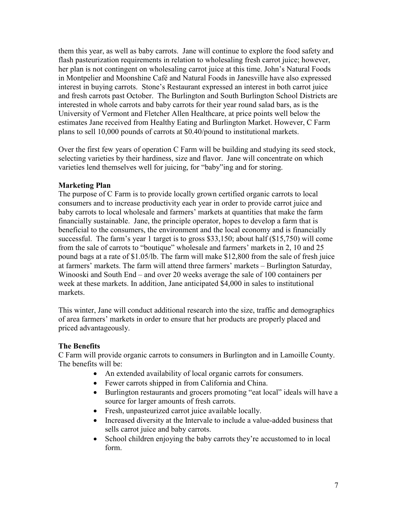them this year, as well as baby carrots. Jane will continue to explore the food safety and flash pasteurization requirements in relation to wholesaling fresh carrot juice; however, her plan is not contingent on wholesaling carrot juice at this time. John's Natural Foods in Montpelier and Moonshine Café and Natural Foods in Janesville have also expressed interest in buying carrots. Stone's Restaurant expressed an interest in both carrot juice and fresh carrots past October. The Burlington and South Burlington School Districts are interested in whole carrots and baby carrots for their year round salad bars, as is the University of Vermont and Fletcher Allen Healthcare, at price points well below the estimates Jane received from Healthy Eating and Burlington Market. However, C Farm plans to sell 10,000 pounds of carrots at \$0.40/pound to institutional markets.

Over the first few years of operation C Farm will be building and studying its seed stock, selecting varieties by their hardiness, size and flavor. Jane will concentrate on which varieties lend themselves well for juicing, for "baby"ing and for storing.

# Marketing Plan

The purpose of C Farm is to provide locally grown certified organic carrots to local consumers and to increase productivity each year in order to provide carrot juice and baby carrots to local wholesale and farmers' markets at quantities that make the farm financially sustainable. Jane, the principle operator, hopes to develop a farm that is beneficial to the consumers, the environment and the local economy and is financially successful. The farm's year 1 target is to gross \$33,150; about half (\$15,750) will come from the sale of carrots to "boutique" wholesale and farmers' markets in 2, 10 and 25 pound bags at a rate of \$1.05/lb. The farm will make \$12,800 from the sale of fresh juice at farmers' markets. The farm will attend three farmers' markets – Burlington Saturday, Winooski and South End – and over 20 weeks average the sale of 100 containers per week at these markets. In addition, Jane anticipated \$4,000 in sales to institutional markets.

This winter, Jane will conduct additional research into the size, traffic and demographics of area farmers' markets in order to ensure that her products are properly placed and priced advantageously.

# The Benefits

C Farm will provide organic carrots to consumers in Burlington and in Lamoille County. The benefits will be:

- An extended availability of local organic carrots for consumers.
- Fewer carrots shipped in from California and China.
- Burlington restaurants and grocers promoting "eat local" ideals will have a source for larger amounts of fresh carrots.
- Fresh, unpasteurized carrot juice available locally.
- Increased diversity at the Intervale to include a value-added business that sells carrot juice and baby carrots.
- School children enjoying the baby carrots they're accustomed to in local form.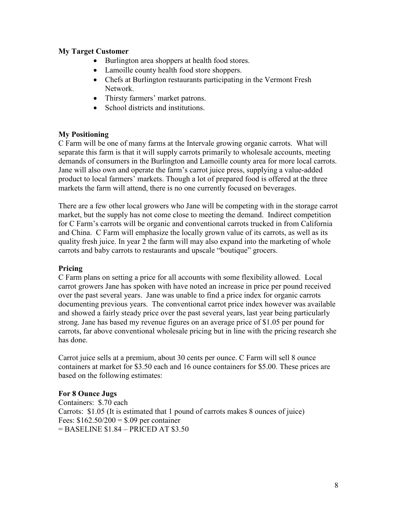# My Target Customer

- Burlington area shoppers at health food stores.
- Lamoille county health food store shoppers.
- Chefs at Burlington restaurants participating in the Vermont Fresh Network.
- Thirsty farmers' market patrons.
- School districts and institutions.

# My Positioning

C Farm will be one of many farms at the Intervale growing organic carrots. What will separate this farm is that it will supply carrots primarily to wholesale accounts, meeting demands of consumers in the Burlington and Lamoille county area for more local carrots. Jane will also own and operate the farm's carrot juice press, supplying a value-added product to local farmers' markets. Though a lot of prepared food is offered at the three markets the farm will attend, there is no one currently focused on beverages.

There are a few other local growers who Jane will be competing with in the storage carrot market, but the supply has not come close to meeting the demand. Indirect competition for C Farm's carrots will be organic and conventional carrots trucked in from California and China. C Farm will emphasize the locally grown value of its carrots, as well as its quality fresh juice. In year 2 the farm will may also expand into the marketing of whole carrots and baby carrots to restaurants and upscale "boutique" grocers.

# Pricing

C Farm plans on setting a price for all accounts with some flexibility allowed. Local carrot growers Jane has spoken with have noted an increase in price per pound received over the past several years. Jane was unable to find a price index for organic carrots documenting previous years. The conventional carrot price index however was available and showed a fairly steady price over the past several years, last year being particularly strong. Jane has based my revenue figures on an average price of \$1.05 per pound for carrots, far above conventional wholesale pricing but in line with the pricing research she has done.

Carrot juice sells at a premium, about 30 cents per ounce. C Farm will sell 8 ounce containers at market for \$3.50 each and 16 ounce containers for \$5.00. These prices are based on the following estimates:

# For 8 Ounce Jugs

Containers: \$.70 each Carrots: \$1.05 (It is estimated that 1 pound of carrots makes 8 ounces of juice) Fees:  $$162.50/200 = $.09$  per container = BASELINE \$1.84 – PRICED AT \$3.50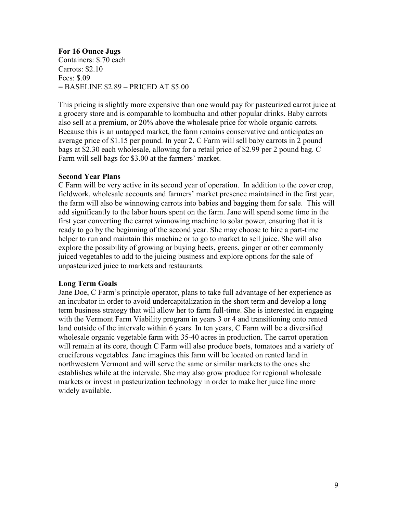For 16 Ounce Jugs Containers: \$.70 each Carrots: \$2.10 Fees: \$.09 = BASELINE \$2.89 – PRICED AT \$5.00

This pricing is slightly more expensive than one would pay for pasteurized carrot juice at a grocery store and is comparable to kombucha and other popular drinks. Baby carrots also sell at a premium, or 20% above the wholesale price for whole organic carrots. Because this is an untapped market, the farm remains conservative and anticipates an average price of \$1.15 per pound. In year 2, C Farm will sell baby carrots in 2 pound bags at \$2.30 each wholesale, allowing for a retail price of \$2.99 per 2 pound bag. C Farm will sell bags for \$3.00 at the farmers' market.

## Second Year Plans

C Farm will be very active in its second year of operation. In addition to the cover crop, fieldwork, wholesale accounts and farmers' market presence maintained in the first year, the farm will also be winnowing carrots into babies and bagging them for sale. This will add significantly to the labor hours spent on the farm. Jane will spend some time in the first year converting the carrot winnowing machine to solar power, ensuring that it is ready to go by the beginning of the second year. She may choose to hire a part-time helper to run and maintain this machine or to go to market to sell juice. She will also explore the possibility of growing or buying beets, greens, ginger or other commonly juiced vegetables to add to the juicing business and explore options for the sale of unpasteurized juice to markets and restaurants.

## Long Term Goals

Jane Doe, C Farm's principle operator, plans to take full advantage of her experience as an incubator in order to avoid undercapitalization in the short term and develop a long term business strategy that will allow her to farm full-time. She is interested in engaging with the Vermont Farm Viability program in years 3 or 4 and transitioning onto rented land outside of the intervale within 6 years. In ten years, C Farm will be a diversified wholesale organic vegetable farm with 35-40 acres in production. The carrot operation will remain at its core, though C Farm will also produce beets, tomatoes and a variety of cruciferous vegetables. Jane imagines this farm will be located on rented land in northwestern Vermont and will serve the same or similar markets to the ones she establishes while at the intervale. She may also grow produce for regional wholesale markets or invest in pasteurization technology in order to make her juice line more widely available.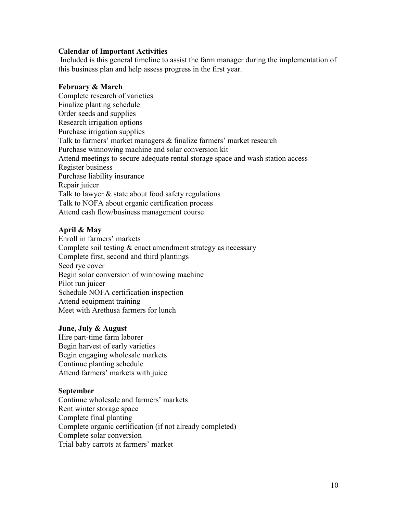## Calendar of Important Activities

 Included is this general timeline to assist the farm manager during the implementation of this business plan and help assess progress in the first year.

# February & March

Complete research of varieties Finalize planting schedule Order seeds and supplies Research irrigation options Purchase irrigation supplies Talk to farmers' market managers & finalize farmers' market research Purchase winnowing machine and solar conversion kit Attend meetings to secure adequate rental storage space and wash station access Register business Purchase liability insurance Repair juicer Talk to lawyer & state about food safety regulations Talk to NOFA about organic certification process Attend cash flow/business management course

# April & May

Enroll in farmers' markets Complete soil testing  $&$  enact amendment strategy as necessary Complete first, second and third plantings Seed rye cover Begin solar conversion of winnowing machine Pilot run juicer Schedule NOFA certification inspection Attend equipment training Meet with Arethusa farmers for lunch

## June, July & August

Hire part-time farm laborer Begin harvest of early varieties Begin engaging wholesale markets Continue planting schedule Attend farmers' markets with juice

## **September**

Continue wholesale and farmers' markets Rent winter storage space Complete final planting Complete organic certification (if not already completed) Complete solar conversion Trial baby carrots at farmers' market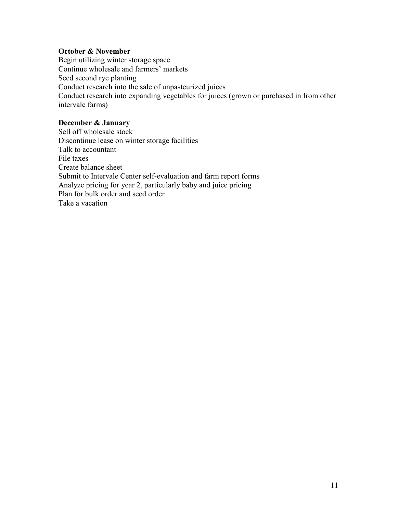# October & November

Begin utilizing winter storage space Continue wholesale and farmers' markets Seed second rye planting Conduct research into the sale of unpasteurized juices Conduct research into expanding vegetables for juices (grown or purchased in from other intervale farms)

# December & January

Sell off wholesale stock Discontinue lease on winter storage facilities Talk to accountant File taxes Create balance sheet Submit to Intervale Center self-evaluation and farm report forms Analyze pricing for year 2, particularly baby and juice pricing Plan for bulk order and seed order Take a vacation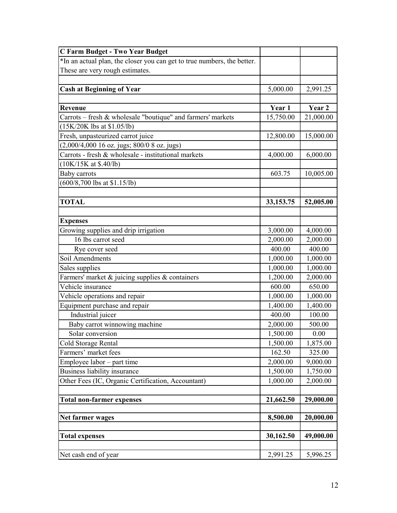| <b>C Farm Budget - Two Year Budget</b>                                  |           |           |
|-------------------------------------------------------------------------|-----------|-----------|
| *In an actual plan, the closer you can get to true numbers, the better. |           |           |
| These are very rough estimates.                                         |           |           |
|                                                                         |           |           |
| <b>Cash at Beginning of Year</b>                                        | 5,000.00  | 2,991.25  |
|                                                                         |           |           |
| <b>Revenue</b>                                                          | Year 1    | Year 2    |
| Carrots - fresh & wholesale "boutique" and farmers' markets             | 15,750.00 | 21,000.00 |
| $(15K/20K$ lbs at \$1.05/lb)                                            |           |           |
| Fresh, unpasteurized carrot juice                                       | 12,800.00 | 15,000.00 |
| (2,000/4,000 16 oz. jugs; 800/0 8 oz. jugs)                             |           |           |
| Carrots - fresh & wholesale - institutional markets                     | 4,000.00  | 6,000.00  |
| (10K/15K at \$.40/lb)                                                   |           |           |
| Baby carrots                                                            | 603.75    | 10,005.00 |
| $(600/8,700$ lbs at \$1.15/lb)                                          |           |           |
|                                                                         |           |           |
| <b>TOTAL</b>                                                            | 33,153.75 | 52,005.00 |
|                                                                         |           |           |
| <b>Expenses</b>                                                         |           |           |
| Growing supplies and drip irrigation                                    | 3,000.00  | 4,000.00  |
| 16 lbs carrot seed                                                      | 2,000.00  | 2,000.00  |
| Rye cover seed                                                          | 400.00    | 400.00    |
| Soil Amendments                                                         | 1,000.00  | 1,000.00  |
| Sales supplies                                                          | 1,000.00  | 1,000.00  |
| Farmers' market & juicing supplies & containers                         | 1,200.00  | 2,000.00  |
| Vehicle insurance                                                       | 600.00    | 650.00    |
| Vehicle operations and repair                                           | 1,000.00  | 1,000.00  |
| Equipment purchase and repair                                           | 1,400.00  | 1,400.00  |
| Industrial juicer                                                       | 400.00    | 100.00    |
| Baby carrot winnowing machine                                           | 2,000.00  | 500.00    |
| Solar conversion                                                        | 1,500.00  | 0.00      |
| Cold Storage Rental                                                     | 1,500.00  | 1,875.00  |
| Farmers' market fees                                                    | 162.50    | 325.00    |
| Employee labor – part time                                              | 2,000.00  | 9,000.00  |
| Business liability insurance                                            | 1,500.00  | 1,750.00  |
| Other Fees (IC, Organic Certification, Accountant)                      | 1,000.00  | 2,000.00  |
|                                                                         |           |           |
| <b>Total non-farmer expenses</b>                                        | 21,662.50 | 29,000.00 |
|                                                                         |           |           |
| Net farmer wages                                                        | 8,500.00  | 20,000.00 |
|                                                                         |           |           |
| <b>Total expenses</b>                                                   | 30,162.50 | 49,000.00 |
|                                                                         |           |           |
| Net cash end of year                                                    | 2,991.25  | 5,996.25  |